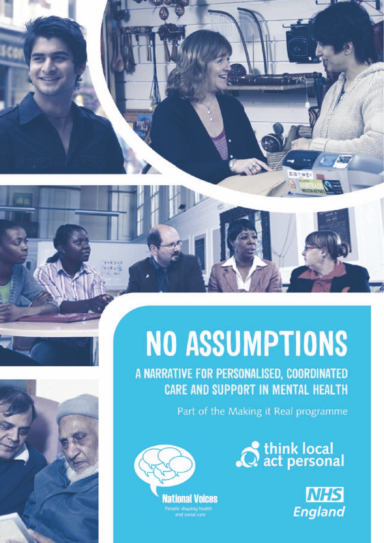



# **NO ASSUMPTIONS**

A NARRATIVE FOR PERSONALISED, COORDINATED **CARE AND SUPPORT IN MENTAL HEALTH** 

Part of the Making it Real programme



National Voices People shaping health<br>and social care

C think local<br>
C act personal

NA M.

**NHS England**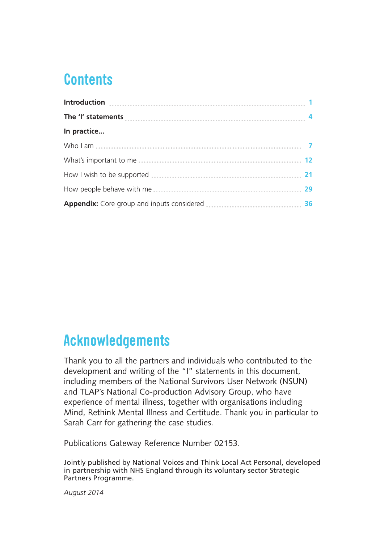## **Contents**

| In practice |  |
|-------------|--|
|             |  |
|             |  |
|             |  |
|             |  |
|             |  |

## **Acknowledgements**

Thank you to all the partners and individuals who contributed to the development and writing of the "I" statements in this document, including members of the National Survivors User Network (NSUN) and TLAP's National Co-production Advisory Group, who have experience of mental illness, together with organisations including Mind, Rethink Mental Illness and Certitude. Thank you in particular to Sarah Carr for gathering the case studies.

Publications Gateway Reference Number 02153.

Jointly published by National Voices and Think Local Act Personal, developed in partnership with NHS England through its voluntary sector Strategic Partners Programme.

*August 2014*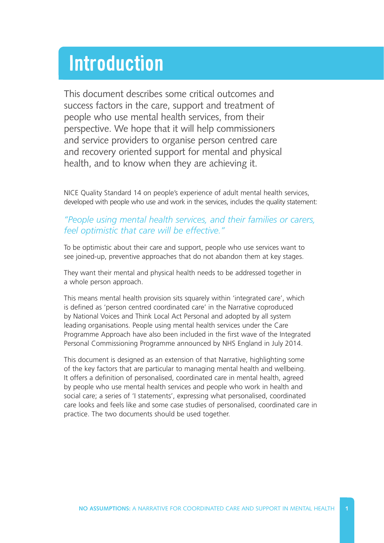## **Introduction**

This document describes some critical outcomes and success factors in the care, support and treatment of people who use mental health services, from their perspective. We hope that it will help commissioners and service providers to organise person centred care and recovery oriented support for mental and physical health, and to know when they are achieving it.

[NICE Quality Standard 14 o](http://publications.nice.org.uk/quality-standard-for-service-user-experience-in-adult-mental-health-qs14)n people's experience of adult mental health services, developed with people who use and work in the services, includes the quality statement:

#### *"People using mental health services, and their families or carers, feel optimistic that care will be effective."*

To be optimistic about their care and support, people who use services want to see joined-up, preventive approaches that do not abandon them at key stages.

They want their mental and physical health needs to be addressed together in a whole person approach.

This means mental health provision sits squarely within 'integrated care', which is defined as 'person centred coordinated care' in the Narrative coproduced by National Voices and Think Local Act Personal and adopted by all system leading organisations. People using mental health services under the Care Programme Approach have also been included in the first wave of the Integrated Personal Commissioning Programme announced by NHS England in July 2014.

This document is designed as an extension of that Narrative, highlighting some of the key factors that are particular to managing mental health and wellbeing. It offers a definition of personalised, coordinated care in mental health, agreed by people who use mental health services and people who work in health and social care; a series of 'I statements', expressing what personalised, coordinated care looks and feels like and some case studies of personalised, coordinated care in practice. The two documents should be used together.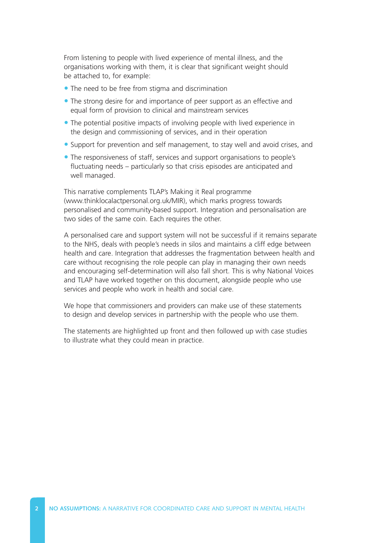From listening to people with lived experience of mental illness, and the organisations working with them, it is clear that significant weight should be attached to, for example:

- The need to be free from stigma and discrimination
- The strong desire for and importance of peer support as an effective and equal form of provision to clinical and mainstream services
- The potential positive impacts of involving people with lived experience in the design and commissioning of services, and in their operation
- Support for prevention and self management, to stay well and avoid crises, and
- The responsiveness of staff, services and support organisations to people's fluctuating needs – particularly so that crisis episodes are anticipated and well managed.

This narrative complements TLAP's Making it Real programme [\(www.thinklocalactpersonal.org.uk/MIR\),](http://www.thinklocalactpersonal.org.uk/MIR) which marks progress towards personalised and community-based support. Integration and personalisation are two sides of the same coin. Each requires the other.

A personalised care and support system will not be successful if it remains separate to the NHS, deals with people's needs in silos and maintains a cliff edge between health and care. Integration that addresses the fragmentation between health and care without recognising the role people can play in managing their own needs and encouraging self-determination will also fall short. This is why National Voices and TLAP have worked together on this document, alongside people who use services and people who work in health and social care.

We hope that commissioners and providers can make use of these statements to design and develop services in partnership with the people who use them.

The statements are highlighted up front and then followed up with case studies to illustrate what they could mean in practice.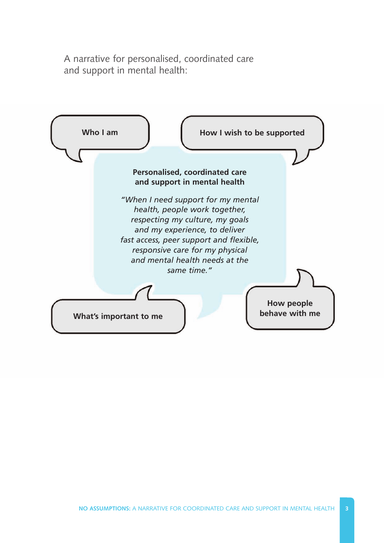A narrative for personalised, coordinated care and support in mental health:

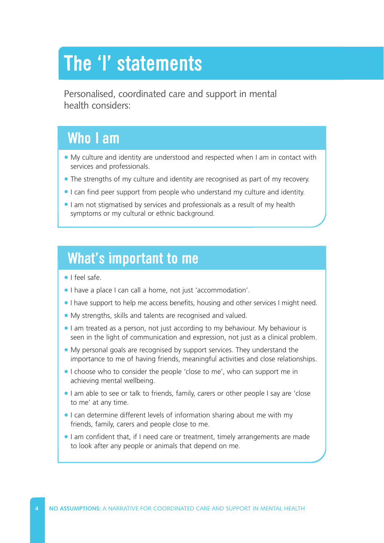## **The 'I' statements**

Personalised, coordinated care and support in mental health considers:

## **Who I am**

- My culture and identity are understood and respected when I am in contact with services and professionals.
- The strengths of my culture and identity are recognised as part of my recovery.
- I can find peer support from people who understand my culture and identity.
- I am not stigmatised by services and professionals as a result of my health symptoms or my cultural or ethnic background.

### **What's important to me**

- I feel safe.
- I have a place I can call a home, not just 'accommodation'.
- I have support to help me access benefits, housing and other services I might need.
- My strengths, skills and talents are recognised and valued.
- I am treated as a person, not just according to my behaviour. My behaviour is seen in the light of communication and expression, not just as a clinical problem.
- My personal goals are recognised by support services. They understand the importance to me of having friends, meaningful activities and close relationships.
- I choose who to consider the people 'close to me', who can support me in achieving mental wellbeing.
- I am able to see or talk to friends, family, carers or other people I say are 'close to me' at any time.
- I can determine different levels of information sharing about me with my friends, family, carers and people close to me.
- I am confident that, if I need care or treatment, timely arrangements are made to look after any people or animals that depend on me.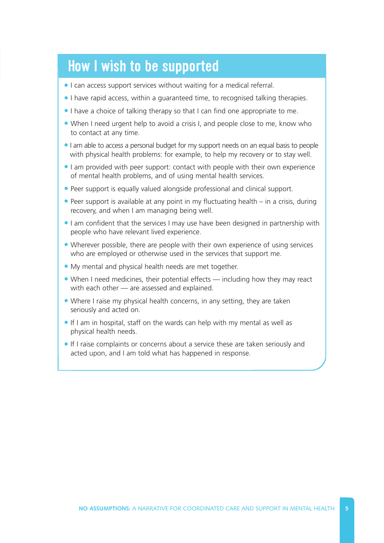## **How I wish to be supported**

- I can access support services without waiting for a medical referral.
- I have rapid access, within a guaranteed time, to recognised talking therapies.
- I have a choice of talking therapy so that I can find one appropriate to me.
- When I need urgent help to avoid a crisis I, and people close to me, know who to contact at any time.
- I am able to access a personal budget for my support needs on an equal basis to people with physical health problems: for example, to help my recovery or to stay well.
- I am provided with peer support: contact with people with their own experience of mental health problems, and of using mental health services.
- Peer support is equally valued alongside professional and clinical support.
- Peer support is available at any point in my fluctuating health in a crisis, during recovery, and when I am managing being well.
- I am confident that the services I may use have been designed in partnership with people who have relevant lived experience.
- Wherever possible, there are people with their own experience of using services who are employed or otherwise used in the services that support me.
- My mental and physical health needs are met together.
- When I need medicines, their potential effects including how they may react with each other — are assessed and explained.
- Where I raise my physical health concerns, in any setting, they are taken seriously and acted on.
- If I am in hospital, staff on the wards can help with my mental as well as physical health needs.
- If I raise complaints or concerns about a service these are taken seriously and acted upon, and I am told what has happened in response.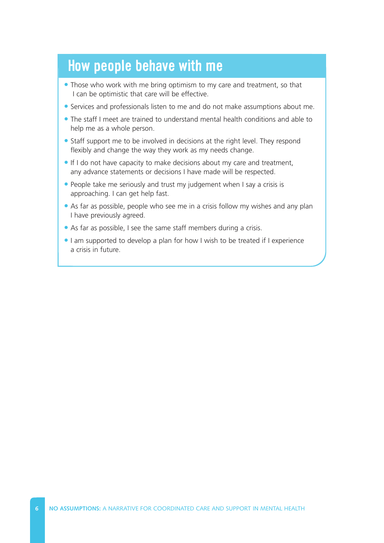## **How people behave with me**

- Those who work with me bring optimism to my care and treatment, so that I can be optimistic that care will be effective.
- Services and professionals listen to me and do not make assumptions about me.
- The staff I meet are trained to understand mental health conditions and able to help me as a whole person.
- Staff support me to be involved in decisions at the right level. They respond flexibly and change the way they work as my needs change.
- If I do not have capacity to make decisions about my care and treatment, any advance statements or decisions I have made will be respected.
- People take me seriously and trust my judgement when I say a crisis is approaching. I can get help fast.
- As far as possible, people who see me in a crisis follow my wishes and any plan I have previously agreed.
- As far as possible, I see the same staff members during a crisis.
- I am supported to develop a plan for how I wish to be treated if I experience a crisis in future.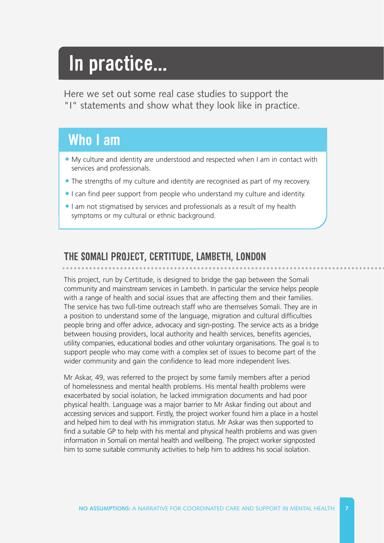## **In practice...**

Here we set out some real case studies to support the "I" statements and show what they look like in practice.

## **Who I am**

- My culture and identity are understood and respected when I am in contact with services and professionals.
- The strengths of my culture and identity are recognised as part of my recovery.
- I can find peer support from people who understand my culture and identity.
- I am not stigmatised by services and professionals as a result of my health symptoms or my cultural or ethnic background.

#### **THE SOMALI PROJECT, CERTITUDE, LAMBETH, LONDON**

This project, run by Certitude, is designed to bridge the gap between the Somali community and mainstream services in Lambeth. In particular the service helps people with a range of health and social issues that are affecting them and their families. The service has two full-time outreach staff who are themselves Somali. They are in a position to understand some of the language, migration and cultural difficulties people bring and offer advice, advocacy and sign-posting. The service acts as a bridge between housing providers, local authority and health services, benefits agencies, utility companies, educational bodies and other voluntary organisations. The goal is to support people who may come with a complex set of issues to become part of the wider community and gain the confidence to lead more independent lives.

Mr Askar, 49, was referred to the project by some family members after a period of homelessness and mental health problems. His mental health problems were exacerbated by social isolation, he lacked immigration documents and had poor physical health. Language was a major barrier to Mr Askar finding out about and accessing services and support. Firstly, the project worker found him a place in a hostel and helped him to deal with his immigration status. Mr Askar was then supported to find a suitable GP to help with his mental and physical health problems and was given information in Somali on mental health and wellbeing. The project worker signposted him to some suitable community activities to help him to address his social isolation.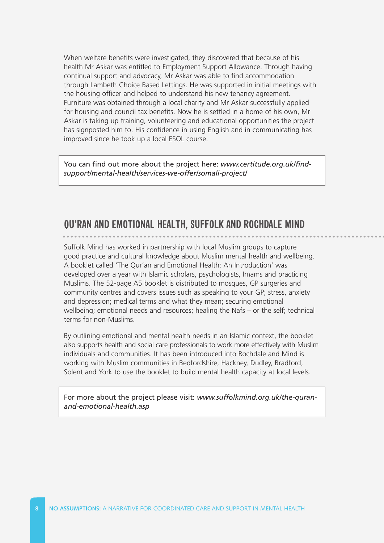When welfare benefits were investigated, they discovered that because of his health Mr Askar was entitled to Employment Support Allowance. Through having continual support and advocacy, Mr Askar was able to find accommodation through Lambeth Choice Based Lettings. He was supported in initial meetings with the housing officer and helped to understand his new tenancy agreement. Furniture was obtained through a local charity and Mr Askar successfully applied for housing and council tax benefits. Now he is settled in a home of his own, Mr Askar is taking up training, volunteering and educational opportunities the project has signposted him to. His confidence in using English and in communicating has improved since he took up a local ESOL course.

You can find out more about the project here: *www.certitude.org.uk/find[support/mental-health/services-we-offer/somali-project/](http://www.certitude.org.uk/find-support/mental-health/services-we-offer/somali-project/)* 

#### **QU'RAN AND EMOTIONAL HEALTH, SUFFOLK AND ROCHDALE MIND**

Suffolk Mind has worked in partnership with local Muslim groups to capture good practice and cultural knowledge about Muslim mental health and wellbeing. A booklet called 'The Qur'an and Emotional Health: An Introduction' was developed over a year with Islamic scholars, psychologists, Imams and practicing Muslims. The 52-page A5 booklet is distributed to mosques, GP surgeries and community centres and covers issues such as speaking to your GP; stress, anxiety and depression; medical terms and what they mean; securing emotional wellbeing; emotional needs and resources; healing the Nafs – or the self; technical terms for non-Muslims.

By outlining emotional and mental health needs in an Islamic context, the booklet also supports health and social care professionals to work more effectively with Muslim individuals and communities. It has been introduced into Rochdale and Mind is working with Muslim communities in Bedfordshire, Hackney, Dudley, Bradford, Solent and York to use the booklet to build mental health capacity at local levels.

[For more about the project please visit:](http://www.suffolkmind.org.uk/the-quran-and-emotional-health.asp) *www.suffolkmind.org.uk/the-quranand-emotional-health.asp*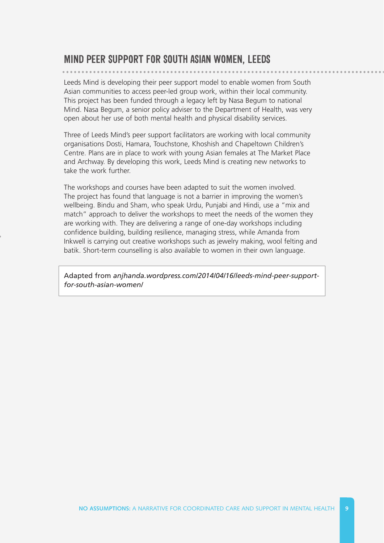#### **MIND PEER SUPPORT FOR SOUTH ASIAN WOMEN, LEEDS**

Leeds Mind is developing their peer support model to enable women from South Asian communities to access peer-led group work, within their local community. This project has been funded through a legacy left by Nasa Begum to national Mind. Nasa Begum, a senior policy adviser to the Department of Health, was very open about her use of both mental health and physical disability services.

Three of Leeds Mind's peer support facilitators are working with local community organisations Dosti, Hamara, Touchstone, Khoshish and Chapeltown Children's Centre. Plans are in place to work with young Asian females at The Market Place and Archway. By developing this work, Leeds Mind is creating new networks to take the work further.

The workshops and courses have been adapted to suit the women involved. The project has found that language is not a barrier in improving the women's wellbeing. Bindu and Sham, who speak Urdu, Punjabi and Hindi, use a "mix and match" approach to deliver the workshops to meet the needs of the women they are working with. They are delivering a range of one-day workshops including confidence building, building resilience, managing stress, while Amanda from Inkwell is carrying out creative workshops such as jewelry making, wool felting and batik. Short-term counselling is also available to women in their own language.

Adapted from *[anjhanda.wordpress.com/2014/04/16/leeds-mind-peer-support](http://anjhanda.wordpress.com/2014/04/16/leeds-mind-peer-support-for-south-asian-women/)for-south-asian-women/*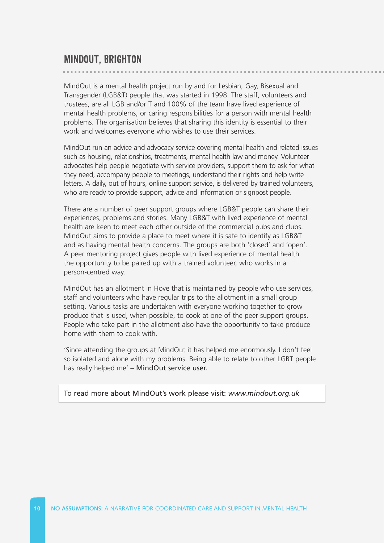MindOut is a mental health project run by and for Lesbian, Gay, Bisexual and Transgender (LGB&T) people that was started in 1998. The staff, volunteers and trustees, are all LGB and/or T and 100% of the team have lived experience of mental health problems, or caring responsibilities for a person with mental health problems. The organisation believes that sharing this identity is essential to their work and welcomes everyone who wishes to use their services.

MindOut run an advice and advocacy service covering mental health and related issues such as housing, relationships, treatments, mental health law and money. Volunteer advocates help people negotiate with service providers, support them to ask for what they need, accompany people to meetings, understand their rights and help write letters. A daily, out of hours, online support service, is delivered by trained volunteers, who are ready to provide support, advice and information or signpost people.

There are a number of peer support groups where LGB&T people can share their experiences, problems and stories. Many LGB&T with lived experience of mental health are keen to meet each other outside of the commercial pubs and clubs. MindOut aims to provide a place to meet where it is safe to identify as LGB&T and as having mental health concerns. The groups are both 'closed' and 'open'. A peer mentoring project gives people with lived experience of mental health the opportunity to be paired up with a trained volunteer, who works in a person-centred way.

MindOut has an allotment in Hove that is maintained by people who use services, staff and volunteers who have regular trips to the allotment in a small group setting. Various tasks are undertaken with everyone working together to grow produce that is used, when possible, to cook at one of the peer support groups. People who take part in the allotment also have the opportunity to take produce home with them to cook with.

'Since attending the groups at MindOut it has helped me enormously. I don't feel so isolated and alone with my problems. Being able to relate to other LGBT people has really helped me' – MindOut service user.

To read more about MindOut's work please visit: *[www.mindout.org.uk](http://www.mindout.org.uk)*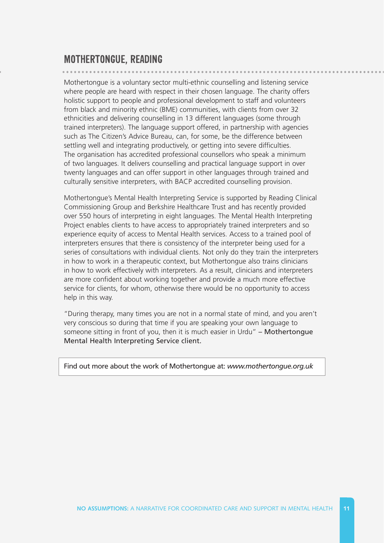#### **MOTHERTONGUE, READING**

Mothertongue is a voluntary sector multi-ethnic counselling and listening service where people are heard with respect in their chosen language. The charity offers holistic support to people and professional development to staff and volunteers from black and minority ethnic (BME) communities, with clients from over 32 ethnicities and delivering counselling in 13 different languages (some through trained interpreters). The language support offered, in partnership with agencies such as The Citizen's Advice Bureau, can, for some, be the difference between settling well and integrating productively, or getting into severe difficulties. The organisation has accredited professional counsellors who speak a minimum of two languages. It delivers counselling and practical language support in over twenty languages and can offer support in other languages through trained and culturally sensitive interpreters, with BACP accredited counselling provision.

Mothertongue's Mental Health Interpreting Service is supported by Reading Clinical Commissioning Group and Berkshire Healthcare Trust and has recently provided over 550 hours of interpreting in eight languages. The Mental Health Interpreting Project enables clients to have access to appropriately trained interpreters and so experience equity of access to Mental Health services. Access to a trained pool of interpreters ensures that there is consistency of the interpreter being used for a series of consultations with individual clients. Not only do they train the interpreters in how to work in a therapeutic context, but Mothertongue also trains clinicians in how to work effectively with interpreters. As a result, clinicians and interpreters are more confident about working together and provide a much more effective service for clients, for whom, otherwise there would be no opportunity to access help in this way.

"During therapy, many times you are not in a normal state of mind, and you aren't very conscious so during that time if you are speaking your own language to someone sitting in front of you, then it is much easier in Urdu" - Mothertongue Mental Health Interpreting Service client.

Find out more about the work of Mothertongue at: *[www.mothertongue.org.uk](http://www.mothertongue.org.uk)*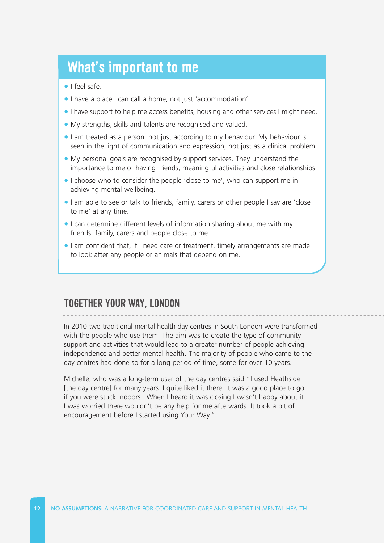### **What's important to me**

- I feel safe.
- I have a place I can call a home, not just 'accommodation'.
- I have support to help me access benefits, housing and other services I might need.
- My strengths, skills and talents are recognised and valued.
- I am treated as a person, not just according to my behaviour. My behaviour is seen in the light of communication and expression, not just as a clinical problem.
- My personal goals are recognised by support services. They understand the importance to me of having friends, meaningful activities and close relationships.
- I choose who to consider the people 'close to me', who can support me in achieving mental wellbeing.
- I am able to see or talk to friends, family, carers or other people I say are 'close to me' at any time.
- I can determine different levels of information sharing about me with my friends, family, carers and people close to me.
- I am confident that, if I need care or treatment, timely arrangements are made to look after any people or animals that depend on me.

#### **TOGETHER YOUR WAY, LONDON**

In 2010 two traditional mental health day centres in South London were transformed with the people who use them. The aim was to create the type of community support and activities that would lead to a greater number of people achieving independence and better mental health. The majority of people who came to the day centres had done so for a long period of time, some for over 10 years.

Michelle, who was a long-term user of the day centres said "I used Heathside [the day centre] for many years. I quite liked it there. It was a good place to go if you were stuck indoors...When I heard it was closing I wasn't happy about it… I was worried there wouldn't be any help for me afterwards. It took a bit of encouragement before I started using Your Way."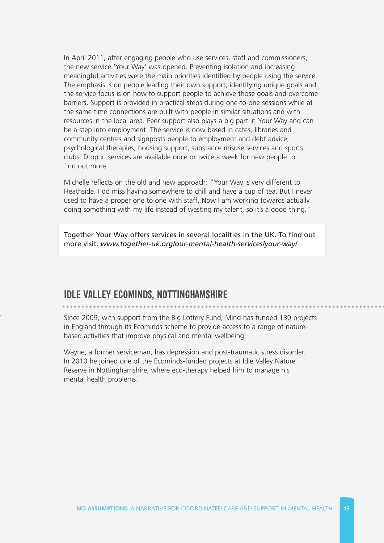In April 2011, after engaging people who use services, staff and commissioners, the new service 'Your Way' was opened. Preventing isolation and increasing meaningful activities were the main priorities identified by people using the service. The emphasis is on people leading their own support, identifying unique goals and the service focus is on how to support people to achieve those goals and overcome barriers. Support is provided in practical steps during one-to-one sessions while at the same time connections are built with people in similar situations and with resources in the local area. Peer support also plays a big part in Your Way and can be a step into employment. The service is now based in cafes, libraries and community centres and signposts people to employment and debt advice, psychological therapies, housing support, substance misuse services and sports clubs. Drop in services are available once or twice a week for new people to find out more.

Michelle reflects on the old and new approach: "Your Way is very different to Heathside. I do miss having somewhere to chill and have a cup of tea. But I never used to have a proper one to one with staff. Now I am working towards actually doing something with my life instead of wasting my talent, so it's a good thing."

Together Your Way offers services in several localities in the UK. To find out more visit: *[www.together-uk.org/our-mental-health-services/your-way/](http://www.together-uk.org/our-mental-health-services/your-way/)* 

#### **IDLE VALLEY ECOMINDS, NOTTINGHAMSHIRE**

Since 2009, with support from the Big Lottery Fund, Mind has funded 130 projects in England through its Ecominds scheme to provide access to a range of naturebased activities that improve physical and mental wellbeing.

Wayne, a former serviceman, has depression and post-traumatic stress disorder. In 2010 he joined one of the Ecominds-funded projects at Idle Valley Nature Reserve in Nottinghamshire, where eco-therapy helped him to manage his mental health problems.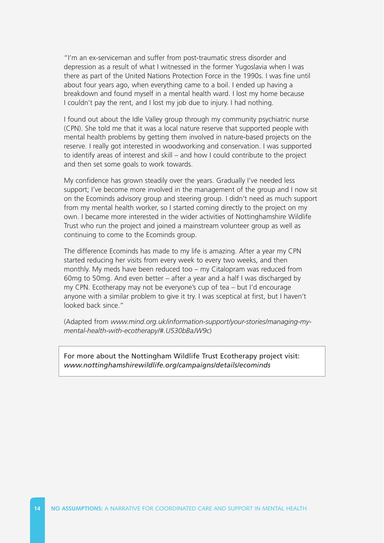"I'm an ex-serviceman and suffer from post-traumatic stress disorder and depression as a result of what I witnessed in the former Yugoslavia when I was there as part of the United Nations Protection Force in the 1990s. I was fine until about four years ago, when everything came to a boil. I ended up having a breakdown and found myself in a mental health ward. I lost my home because I couldn't pay the rent, and I lost my job due to injury. I had nothing.

I found out about the Idle Valley group through my community psychiatric nurse (CPN). She told me that it was a local nature reserve that supported people with mental health problems by getting them involved in nature-based projects on the reserve. I really got interested in woodworking and conservation. I was supported to identify areas of interest and skill – and how I could contribute to the project and then set some goals to work towards.

My confidence has grown steadily over the years. Gradually I've needed less support; I've become more involved in the management of the group and I now sit on the Ecominds advisory group and steering group. I didn't need as much support from my mental health worker, so I started coming directly to the project on my own. I became more interested in the wider activities of Nottinghamshire Wildlife Trust who run the project and joined a mainstream volunteer group as well as continuing to come to the Ecominds group.

The difference Ecominds has made to my life is amazing. After a year my CPN started reducing her visits from every week to every two weeks, and then monthly. My meds have been reduced too – my Citalopram was reduced from 60mg to 50mg. And even better – after a year and a half I was discharged by my CPN. Ecotherapy may not be everyone's cup of tea – but I'd encourage anyone with a similar problem to give it try. I was sceptical at first, but I haven't looked back since."

(Adapted from *[www.mind.org.uk/information-support/your-stories/managing-my](http://www.mind.org.uk/information-support/your-stories/managing-my-mental-health-with-ecotherapy/#.U530bBaJW9c)mental-health-with-ecotherapy/#.U530bBaJW9c*)

For more about the Nottingham Wildlife Trust Ecotherapy project visit: *[www.nottinghamshirewildlife.org/campaigns/details/ecominds](http://www.nottinghamshirewildlife.org/campaigns/details/ecominds)*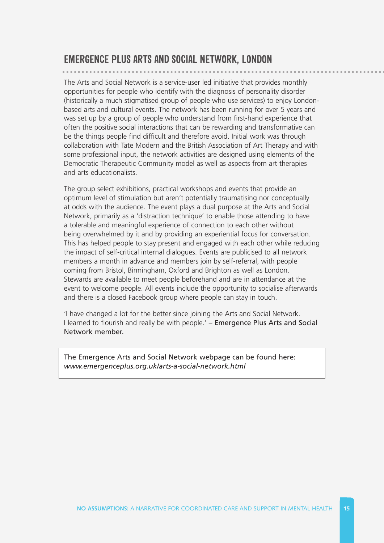#### **EMERGENCE PLUS ARTS AND SOCIAL NETWORK, LONDON**

The Arts and Social Network is a service-user led initiative that provides monthly opportunities for people who identify with the diagnosis of personality disorder (historically a much stigmatised group of people who use services) to enjoy Londonbased arts and cultural events. The network has been running for over 5 years and was set up by a group of people who understand from first-hand experience that often the positive social interactions that can be rewarding and transformative can be the things people find difficult and therefore avoid. Initial work was through collaboration with Tate Modern and the British Association of Art Therapy and with some professional input, the network activities are designed using elements of the Democratic Therapeutic Community model as well as aspects from art therapies and arts educationalists.

The group select exhibitions, practical workshops and events that provide an optimum level of stimulation but aren't potentially traumatising nor conceptually at odds with the audience. The event plays a dual purpose at the Arts and Social Network, primarily as a 'distraction technique' to enable those attending to have a tolerable and meaningful experience of connection to each other without being overwhelmed by it and by providing an experiential focus for conversation. This has helped people to stay present and engaged with each other while reducing the impact of self-critical internal dialogues. Events are publicised to all network members a month in advance and members join by self-referral, with people coming from Bristol, Birmingham, Oxford and Brighton as well as London. Stewards are available to meet people beforehand and are in attendance at the event to welcome people. All events include the opportunity to socialise afterwards and there is a closed Facebook group where people can stay in touch.

'I have changed a lot for the better since joining the Arts and Social Network. I learned to flourish and really be with people.' – Emergence Plus Arts and Social Network member.

The Emergence Arts and Social Network webpage can be found here: *[www.emergenceplus.org.uk/arts-a-social-network.html](http://www.emergenceplus.org.uk/arts-a-social-network.html)*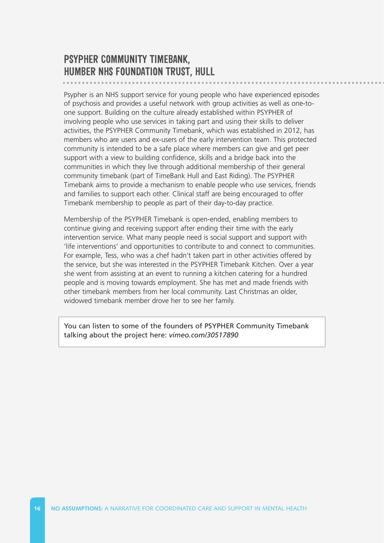#### **PSYPHER COMMUNITY TIMEBANK, HUMBER NHS FOUNDATION TRUST, HULL**

Psypher is an NHS support service for young people who have experienced episodes of psychosis and provides a useful network with group activities as well as one-toone support. Building on the culture already established within PSYPHER of involving people who use services in taking part and using their skills to deliver activities, the PSYPHER Community Timebank, which was established in 2012, has members who are users and ex-users of the early intervention team. This protected community is intended to be a safe place where members can give and get peer support with a view to building confidence, skills and a bridge back into the communities in which they live through additional membership of their general community timebank (part of TimeBank Hull and East Riding). The PSYPHER Timebank aims to provide a mechanism to enable people who use services, friends and families to support each other. Clinical staff are being encouraged to offer Timebank membership to people as part of their day-to-day practice.

Membership of the PSYPHER Timebank is open-ended, enabling members to continue giving and receiving support after ending their time with the early intervention service. What many people need is social support and support with 'life interventions' and opportunities to contribute to and connect to communities. For example, Tess, who was a chef hadn't taken part in other activities offered by the service, but she was interested in the PSYPHER Timebank Kitchen. Over a year she went from assisting at an event to running a kitchen catering for a hundred people and is moving towards employment. She has met and made friends with other timebank members from her local community. Last Christmas an older, widowed timebank member drove her to see her family.

[You can listen to some of the founders of PSYPHER Community Timebank](http://vimeo.com/30517890)  talking about the project here: *vimeo.com/30517890*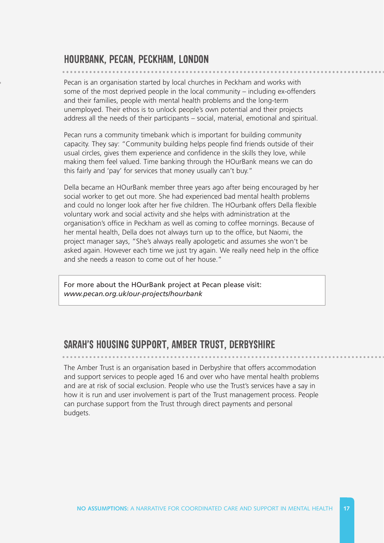#### **HOURBANK, PECAN, PECKHAM, LONDON**

Pecan is an organisation started by local churches in Peckham and works with some of the most deprived people in the local community – including ex-offenders and their families, people with mental health problems and the long-term unemployed. Their ethos is to unlock people's own potential and their projects address all the needs of their participants – social, material, emotional and spiritual.

Pecan runs a community timebank which is important for building community capacity. They say: "Community building helps people find friends outside of their usual circles, gives them experience and confidence in the skills they love, while making them feel valued. Time banking through the HOurBank means we can do this fairly and 'pay' for services that money usually can't buy."

Della became an HOurBank member three years ago after being encouraged by her social worker to get out more. She had experienced bad mental health problems and could no longer look after her five children. The HOurbank offers Della flexible voluntary work and social activity and she helps with administration at the organisation's office in Peckham as well as coming to coffee mornings. Because of her mental health, Della does not always turn up to the office, but Naomi, the project manager says, "She's always really apologetic and assumes she won't be asked again. However each time we just try again. We really need help in the office and she needs a reason to come out of her house."

For more about the HOurBank project at Pecan please visit: *[www.pecan.org.uk/our-projects/hourbank](http://www.pecan.org.uk/our-projects/hourbank)* 

#### **SARAH'S HOUSING SUPPORT, AMBER TRUST, DERBYSHIRE**

The Amber Trust is an organisation based in Derbyshire that offers accommodation and support services to people aged 16 and over who have mental health problems and are at risk of social exclusion. People who use the Trust's services have a say in how it is run and user involvement is part of the Trust management process. People can purchase support from the Trust through direct payments and personal budgets.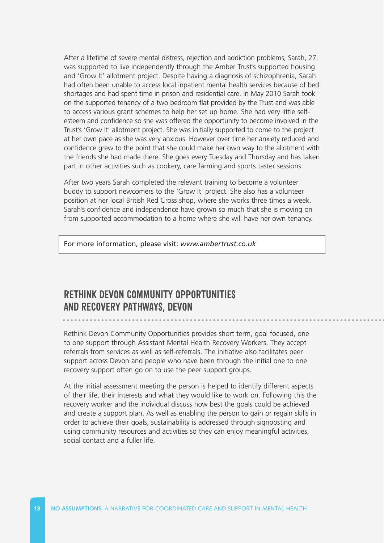After a lifetime of severe mental distress, rejection and addiction problems, Sarah, 27, was supported to live independently through the Amber Trust's supported housing and 'Grow It' allotment project. Despite having a diagnosis of schizophrenia, Sarah had often been unable to access local inpatient mental health services because of bed shortages and had spent time in prison and residential care. In May 2010 Sarah took on the supported tenancy of a two bedroom flat provided by the Trust and was able to access various grant schemes to help her set up home. She had very little selfesteem and confidence so she was offered the opportunity to become involved in the Trust's 'Grow It' allotment project. She was initially supported to come to the project at her own pace as she was very anxious. However over time her anxiety reduced and confidence grew to the point that she could make her own way to the allotment with the friends she had made there. She goes every Tuesday and Thursday and has taken part in other activities such as cookery, care farming and sports taster sessions.

After two years Sarah completed the relevant training to become a volunteer buddy to support newcomers to the 'Grow It' project. She also has a volunteer position at her local British Red Cross shop, where she works three times a week. Sarah's confidence and independence have grown so much that she is moving on from supported accommodation to a home where she will have her own tenancy.

[For more information, please visit:](http://www.ambertrust.co.uk/) *www.ambertrust.co.uk* 

#### **RETHINK DEVON COMMUNITY OPPORTUNITIES AND RECOVERY PATHWAYS, DEVON**

Rethink Devon Community Opportunities provides short term, goal focused, one to one support through Assistant Mental Health Recovery Workers. They accept referrals from services as well as self-referrals. The initiative also facilitates peer support across Devon and people who have been through the initial one to one recovery support often go on to use the peer support groups.

At the initial assessment meeting the person is helped to identify different aspects of their life, their interests and what they would like to work on. Following this the recovery worker and the individual discuss how best the goals could be achieved and create a support plan. As well as enabling the person to gain or regain skills in order to achieve their goals, sustainability is addressed through signposting and using community resources and activities so they can enjoy meaningful activities, social contact and a fuller life.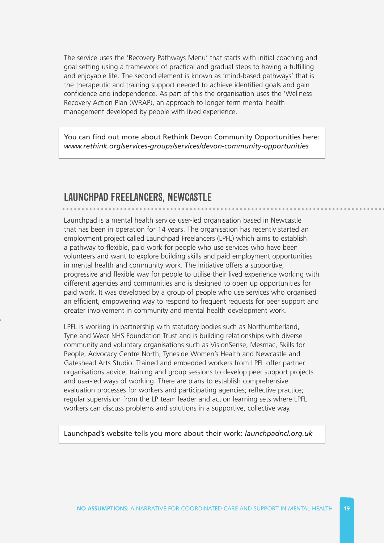The service uses the 'Recovery Pathways Menu' that starts with initial coaching and goal setting using a framework of practical and gradual steps to having a fulfilling and enjoyable life. The second element is known as 'mind-based pathways' that is the therapeutic and training support needed to achieve identified goals and gain confidence and independence. As part of this the organisation uses the 'Wellness Recovery Action Plan (WRAP), an approach to longer term mental health management developed by people with lived experience.

You can find out more about Rethink Devon Community Opportunities here: *[www.rethink.org/services-groups/services/devon-community-opportunities](http://www.rethink.org/services-groups/services/devon-community-opportunities)* 

#### **LAUNCHPAD FREELANCERS, NEWCASTLE**

Launchpad is a mental health service user-led organisation based in Newcastle that has been in operation for 14 years. The organisation has recently started an employment project called Launchpad Freelancers (LPFL) which aims to establish a pathway to flexible, paid work for people who use services who have been volunteers and want to explore building skills and paid employment opportunities in mental health and community work. The initiative offers a supportive, progressive and flexible way for people to utilise their lived experience working with different agencies and communities and is designed to open up opportunities for paid work. It was developed by a group of people who use services who organised an efficient, empowering way to respond to frequent requests for peer support and greater involvement in community and mental health development work.

LPFL is working in partnership with statutory bodies such as Northumberland, Tyne and Wear NHS Foundation Trust and is building relationships with diverse community and voluntary organisations such as VisionSense, Mesmac, Skills for People, Advocacy Centre North, Tyneside Women's Health and Newcastle and Gateshead Arts Studio. Trained and embedded workers from LPFL offer partner organisations advice, training and group sessions to develop peer support projects and user-led ways of working. There are plans to establish comprehensive evaluation processes for workers and participating agencies; reflective practice; regular supervision from the LP team leader and action learning sets where LPFL workers can discuss problems and solutions in a supportive, collective way.

[Launchpad's website tells you more about their work:](http://launchpadncl.org.uk/) *launchpadncl.org.uk*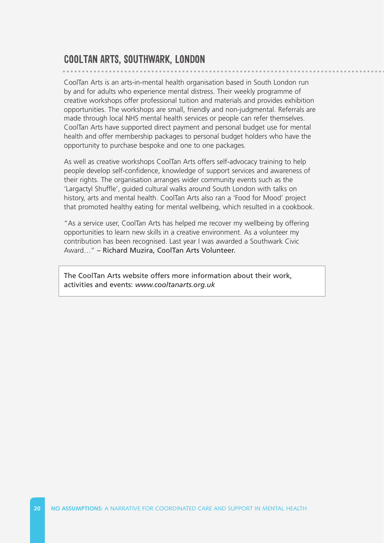#### **COOLTAN ARTS, SOUTHWARK, LONDON**

CoolTan Arts is an arts-in-mental health organisation based in South London run by and for adults who experience mental distress. Their weekly programme of creative workshops offer professional tuition and materials and provides exhibition opportunities. The workshops are small, friendly and non-judgmental. Referrals are made through local NHS mental health services or people can refer themselves. CoolTan Arts have supported direct payment and personal budget use for mental health and offer membership packages to personal budget holders who have the opportunity to purchase bespoke and one to one packages.

As well as creative workshops CoolTan Arts offers self-advocacy training to help people develop self-confidence, knowledge of support services and awareness of their rights. The organisation arranges wider community events such as the 'Largactyl Shuffle', guided cultural walks around South London with talks on history, arts and mental health. CoolTan Arts also ran a 'Food for Mood' project that promoted healthy eating for mental wellbeing, which resulted in a cookbook.

"As a service user, CoolTan Arts has helped me recover my wellbeing by offering opportunities to learn new skills in a creative environment. As a volunteer my contribution has been recognised. Last year I was awarded a Southwark Civic Award…" – Richard Muzira, CoolTan Arts Volunteer.

The CoolTan Arts website offers more information about their work, activities and events: *[www.cooltanarts.org.uk](http://www.cooltanarts.org.uk)*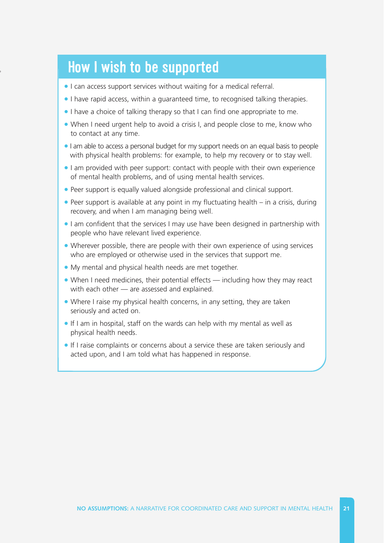## **How I wish to be supported**

- I can access support services without waiting for a medical referral.
- I have rapid access, within a guaranteed time, to recognised talking therapies.
- I have a choice of talking therapy so that I can find one appropriate to me.
- When I need urgent help to avoid a crisis I, and people close to me, know who to contact at any time.
- I am able to access a personal budget for my support needs on an equal basis to people with physical health problems: for example, to help my recovery or to stay well.
- I am provided with peer support: contact with people with their own experience of mental health problems, and of using mental health services.
- Peer support is equally valued alongside professional and clinical support.
- Peer support is available at any point in my fluctuating health in a crisis, during recovery, and when I am managing being well.
- I am confident that the services I may use have been designed in partnership with people who have relevant lived experience.
- Wherever possible, there are people with their own experience of using services who are employed or otherwise used in the services that support me.
- My mental and physical health needs are met together.
- When I need medicines, their potential effects including how they may react with each other — are assessed and explained.
- Where I raise my physical health concerns, in any setting, they are taken seriously and acted on.
- If I am in hospital, staff on the wards can help with my mental as well as physical health needs.
- If I raise complaints or concerns about a service these are taken seriously and acted upon, and I am told what has happened in response.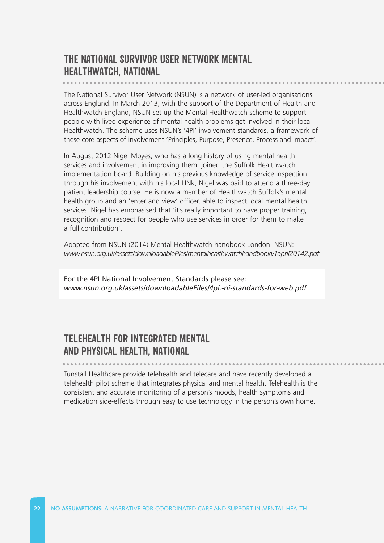#### **THE NATIONAL SURVIVOR USER NETWORK MENTAL HEALTHWATCH, NATIONAL**

The National Survivor User Network (NSUN) is a network of user-led organisations across England. In March 2013, with the support of the Department of Health and Healthwatch England, NSUN set up the Mental Healthwatch scheme to support people with lived experience of mental health problems get involved in their local Healthwatch. The scheme uses NSUN's '4PI' involvement standards, a framework of these core aspects of involvement 'Principles, Purpose, Presence, Process and Impact'.

In August 2012 Nigel Moyes, who has a long history of using mental health services and involvement in improving them, joined the Suffolk Healthwatch implementation board. Building on his previous knowledge of service inspection through his involvement with his local LINk, Nigel was paid to attend a three-day patient leadership course. He is now a member of Healthwatch Suffolk's mental health group and an 'enter and view' officer, able to inspect local mental health services. Nigel has emphasised that 'it's really important to have proper training, recognition and respect for people who use services in order for them to make a full contribution'.

Adapted from NSUN (2014) Mental Healthwatch handbook London: NSUN: *[www.nsun.org.uk/assets/downloadableFiles/mentalhealthwatchhandbookv1april20142.pdf](http://www.nsun.org.uk/assets/downloadableFiles/mentalhealthwatchhandbookv1april20142.pdf)* 

For the 4PI National Involvement Standards please see: *[www.nsun.org.uk/assets/downloadableFiles/4pi.-ni-standards-for-web.pdf](http://www.nsun.org.uk/assets/downloadableFiles/4pi.-ni-standards-for-web.pdf)* 

#### **TELEHEALTH FOR INTEGRATED MENTAL AND PHYSICAL HEALTH, NATIONAL**

Tunstall Healthcare provide telehealth and telecare and have recently developed a telehealth pilot scheme that integrates physical and mental health. Telehealth is the consistent and accurate monitoring of a person's moods, health symptoms and medication side-effects through easy to use technology in the person's own home.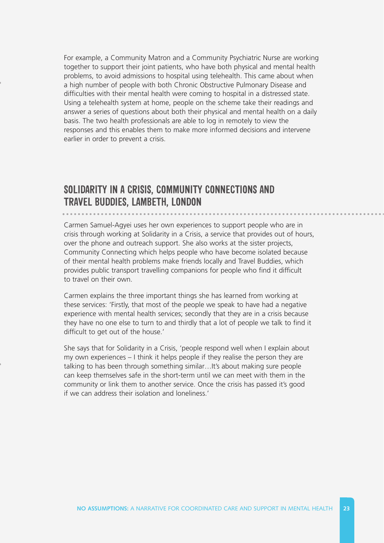For example, a Community Matron and a Community Psychiatric Nurse are working together to support their joint patients, who have both physical and mental health problems, to avoid admissions to hospital using telehealth. This came about when a high number of people with both Chronic Obstructive Pulmonary Disease and difficulties with their mental health were coming to hospital in a distressed state. Using a telehealth system at home, people on the scheme take their readings and answer a series of questions about both their physical and mental health on a daily basis. The two health professionals are able to log in remotely to view the responses and this enables them to make more informed decisions and intervene earlier in order to prevent a crisis.

#### **SOLIDARITY IN A CRISIS, COMMUNITY CONNECTIONS AND TRAVEL BUDDIES, LAMBETH, LONDON**

Carmen Samuel-Agyei uses her own experiences to support people who are in crisis through working at Solidarity in a Crisis, a service that provides out of hours, over the phone and outreach support. She also works at the sister projects, Community Connecting which helps people who have become isolated because of their mental health problems make friends locally and Travel Buddies, which provides public transport travelling companions for people who find it difficult to travel on their own.

Carmen explains the three important things she has learned from working at these services: 'Firstly, that most of the people we speak to have had a negative experience with mental health services; secondly that they are in a crisis because they have no one else to turn to and thirdly that a lot of people we talk to find it difficult to get out of the house.'

She says that for Solidarity in a Crisis, 'people respond well when I explain about my own experiences – I think it helps people if they realise the person they are talking to has been through something similar…It's about making sure people can keep themselves safe in the short-term until we can meet with them in the community or link them to another service. Once the crisis has passed it's good if we can address their isolation and loneliness.'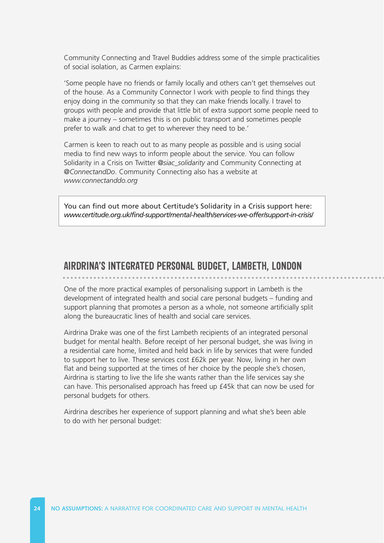Community Connecting and Travel Buddies address some of the simple practicalities of social isolation, as Carmen explains:

'Some people have no friends or family locally and others can't get themselves out of the house. As a Community Connector I work with people to find things they enjoy doing in the community so that they can make friends locally. I travel to groups with people and provide that little bit of extra support some people need to make a journey – sometimes this is on public transport and sometimes people prefer to walk and chat to get to wherever they need to be.'

Carmen is keen to reach out to as many people as possible and is using social media to find new ways to inform people about the service. You can follow Solidarity in a Crisis on Twitter *[@siac\\_solidarity](https://twitter.com/siac_solidarity)* and Community Connecting at *[@ConnectandDo](https://twitter.com/ConnectAndDo)*. Community Connecting also has a website at *[www.connectanddo.org](http://www.connectanddo.org)* 

You can find out more about Certitude's Solidarity in a Crisis support here: *[www.certitude.org.uk/find-support/mental-health/services-we-offer/support-in-crisis/](http://www.certitude.org.uk/find-support/mental-health/services-we-offer/support-in-crisis/)* 

#### **AIRDRINA'S INTEGRATED PERSONAL BUDGET, LAMBETH, LONDON**

One of the more practical examples of personalising support in Lambeth is the development of integrated health and social care personal budgets – funding and support planning that promotes a person as a whole, not someone artificially split along the bureaucratic lines of health and social care services.

Airdrina Drake was one of the first Lambeth recipients of an integrated personal budget for mental health. Before receipt of her personal budget, she was living in a residential care home, limited and held back in life by services that were funded to support her to live. These services cost £62k per year. Now, living in her own flat and being supported at the times of her choice by the people she's chosen, Airdrina is starting to live the life she wants rather than the life services say she can have. This personalised approach has freed up £45k that can now be used for personal budgets for others.

Airdrina describes her experience of support planning and what she's been able to do with her personal budget: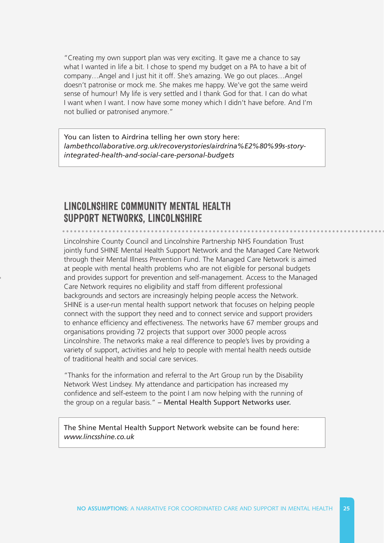"Creating my own support plan was very exciting. It gave me a chance to say what I wanted in life a bit. I chose to spend my budget on a PA to have a bit of company…Angel and I just hit it off. She's amazing. We go out places…Angel doesn't patronise or mock me. She makes me happy. We've got the same weird sense of humour! My life is very settled and I thank God for that. I can do what I want when I want. I now have some money which I didn't have before. And I'm not bullied or patronised anymore."

You can listen to Airdrina telling her own story here: *[lambethcollaborative.org.uk/recoverystories/airdrina%E2%80%99s-story](lambethcollaborative.org.uk/recoverystories/airdrina%E2%80%99s-story-integrated-health-and-social-care-personal-budgets)integrated-health-and-social-care-personal-budgets* 

#### **LINCOLNSHIRE COMMUNITY MENTAL HEALTH SUPPORT NETWORKS, LINCOLNSHIRE**

Lincolnshire County Council and Lincolnshire Partnership NHS Foundation Trust jointly fund SHINE Mental Health Support Network and the Managed Care Network through their Mental Illness Prevention Fund. The Managed Care Network is aimed at people with mental health problems who are not eligible for personal budgets and provides support for prevention and self-management. Access to the Managed Care Network requires no eligibility and staff from different professional backgrounds and sectors are increasingly helping people access the Network. SHINE is a user-run mental health support network that focuses on helping people connect with the support they need and to connect service and support providers to enhance efficiency and effectiveness. The networks have 67 member groups and organisations providing 72 projects that support over 3000 people across Lincolnshire. The networks make a real difference to people's lives by providing a variety of support, activities and help to people with mental health needs outside of traditional health and social care services.

"Thanks for the information and referral to the Art Group run by the Disability Network West Lindsey. My attendance and participation has increased my confidence and self-esteem to the point I am now helping with the running of the group on a regular basis." – Mental Health Support Networks user.

The Shine Mental Health Support Network website can be found here: *[www.lincsshine.co.uk](http://www.lincsshine.co.uk)*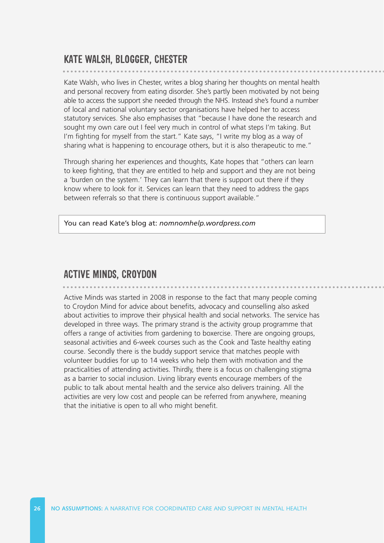#### **KATE WALSH, BLOGGER, CHESTER**

Kate Walsh, who lives in Chester, writes a blog sharing her thoughts on mental health and personal recovery from eating disorder. She's partly been motivated by not being able to access the support she needed through the NHS. Instead she's found a number of local and national voluntary sector organisations have helped her to access statutory services. She also emphasises that "because I have done the research and sought my own care out I feel very much in control of what steps I'm taking. But I'm fighting for myself from the start." Kate says, "I write my blog as a way of sharing what is happening to encourage others, but it is also therapeutic to me."

Through sharing her experiences and thoughts, Kate hopes that "others can learn to keep fighting, that they are entitled to help and support and they are not being a 'burden on the system.' They can learn that there is support out there if they know where to look for it. Services can learn that they need to address the gaps between referrals so that there is continuous support available."

You can read Kate's blog at: *[nomnomhelp.wordpress.com](http://nomnomhelp.wordpress.com/)* 

#### **ACTIVE MINDS, CROYDON**

Active Minds was started in 2008 in response to the fact that many people coming to Croydon Mind for advice about benefits, advocacy and counselling also asked about activities to improve their physical health and social networks. The service has developed in three ways. The primary strand is the activity group programme that offers a range of activities from gardening to boxercise. There are ongoing groups, seasonal activities and 6-week courses such as the Cook and Taste healthy eating course. Secondly there is the buddy support service that matches people with volunteer buddies for up to 14 weeks who help them with motivation and the practicalities of attending activities. Thirdly, there is a focus on challenging stigma as a barrier to social inclusion. Living library events encourage members of the public to talk about mental health and the service also delivers training. All the activities are very low cost and people can be referred from anywhere, meaning that the initiative is open to all who might benefit.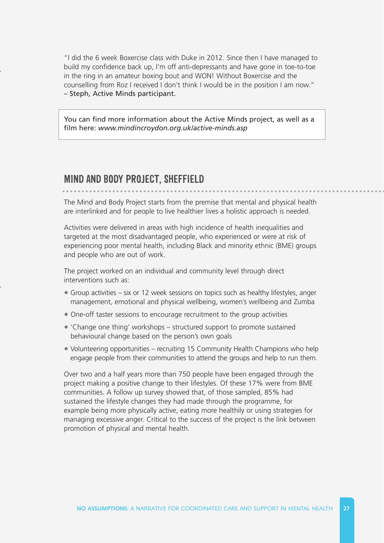"I did the 6 week Boxercise class with Duke in 2012. Since then I have managed to build my confidence back up, I'm off anti-depressants and have gone in toe-to-toe in the ring in an amateur boxing bout and WON! Without Boxercise and the counselling from Roz I received I don't think I would be in the position I am now." – Steph, Active Minds participant.

You can find more information about the Active Minds project, as well as a film here: *[www.mindincroydon.org.uk/active-minds.asp](http://www.mindincroydon.org.uk/active-minds.asp)* 

#### **MIND AND BODY PROJECT, SHEFFIELD**

The Mind and Body Project starts from the premise that mental and physical health are interlinked and for people to live healthier lives a holistic approach is needed.

Activities were delivered in areas with high incidence of health inequalities and targeted at the most disadvantaged people, who experienced or were at risk of experiencing poor mental health, including Black and minority ethnic (BME) groups and people who are out of work.

The project worked on an individual and community level through direct interventions such as:

- Group activities six or 12 week sessions on topics such as healthy lifestyles, anger management, emotional and physical wellbeing, women's wellbeing and Zumba
- One-off taster sessions to encourage recruitment to the group activities
- 'Change one thing' workshops structured support to promote sustained behavioural change based on the person's own goals
- Volunteering opportunities recruiting 15 Community Health Champions who help engage people from their communities to attend the groups and help to run them.

Over two and a half years more than 750 people have been engaged through the project making a positive change to their lifestyles. Of these 17% were from BME communities. A follow up survey showed that, of those sampled, 85% had sustained the lifestyle changes they had made through the programme, for example being more physically active, eating more healthily or using strategies for managing excessive anger. Critical to the success of the project is the link between promotion of physical and mental health.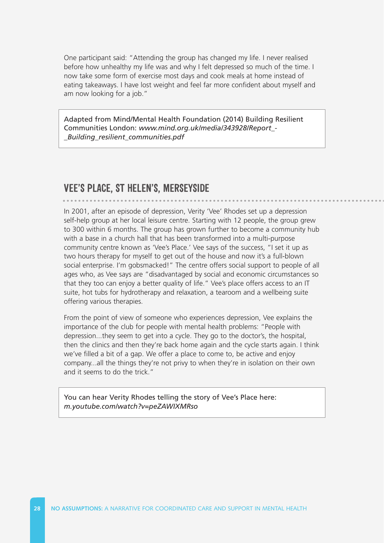One participant said: "Attending the group has changed my life. I never realised before how unhealthy my life was and why I felt depressed so much of the time. I now take some form of exercise most days and cook meals at home instead of eating takeaways. I have lost weight and feel far more confident about myself and am now looking for a job."

Adapted from Mind/Mental Health Foundation (2014) Building Resilient Communities London: *[www.mind.org.uk/media/343928/Report\\_](http://www.mind.org.uk/media/343928/Report_-_Building_resilient_communities.pdf) \_Building\_resilient\_communities.pdf* 

#### **VEE'S PLACE, ST HELEN'S, MERSEYSIDE**

In 2001, after an episode of depression, Verity 'Vee' Rhodes set up a depression self-help group at her local leisure centre. Starting with 12 people, the group grew to 300 within 6 months. The group has grown further to become a community hub with a base in a church hall that has been transformed into a multi-purpose community centre known as 'Vee's Place.' Vee says of the success, "I set it up as two hours therapy for myself to get out of the house and now it's a full-blown social enterprise. I'm gobsmacked!" The centre offers social support to people of all ages who, as Vee says are "disadvantaged by social and economic circumstances so that they too can enjoy a better quality of life." Vee's place offers access to an IT suite, hot tubs for hydrotherapy and relaxation, a tearoom and a wellbeing suite offering various therapies.

From the point of view of someone who experiences depression, Vee explains the importance of the club for people with mental health problems: "People with depression...they seem to get into a cycle. They go to the doctor's, the hospital, then the clinics and then they're back home again and the cycle starts again. I think we've filled a bit of a gap. We offer a place to come to, be active and enjoy company...all the things they're not privy to when they're in isolation on their own and it seems to do the trick."

[You can hear Verity Rhodes telling the story of Vee's Place here:](https://www.youtube.com/watch?v=peZAWIXMRso&app=desktop)  *m.youtube.com/watch?v=peZAWIXMRso*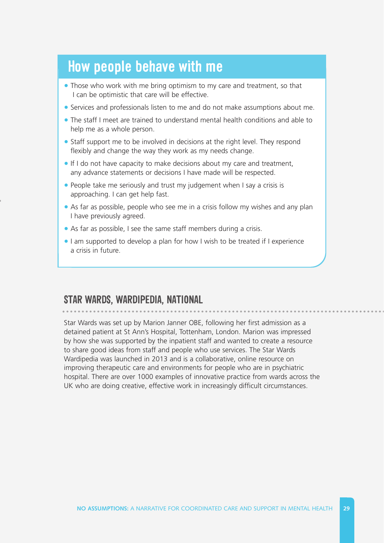### **How people behave with me**

- Those who work with me bring optimism to my care and treatment, so that I can be optimistic that care will be effective.
- Services and professionals listen to me and do not make assumptions about me.
- The staff I meet are trained to understand mental health conditions and able to help me as a whole person.
- Staff support me to be involved in decisions at the right level. They respond flexibly and change the way they work as my needs change.
- If I do not have capacity to make decisions about my care and treatment, any advance statements or decisions I have made will be respected.
- People take me seriously and trust my judgement when I say a crisis is approaching. I can get help fast.
- As far as possible, people who see me in a crisis follow my wishes and any plan I have previously agreed.
- As far as possible, I see the same staff members during a crisis.
- I am supported to develop a plan for how I wish to be treated if I experience a crisis in future.

#### STAR WARDS, WARDIPEDIA, NATIONAL

Star Wards was set up by Marion Janner OBE, following her first admission as a detained patient at St Ann's Hospital, Tottenham, London. Marion was impressed by how she was supported by the inpatient staff and wanted to create a resource to share good ideas from staff and people who use services. The Star Wards Wardipedia was launched in 2013 and is a collaborative, online resource on improving therapeutic care and environments for people who are in psychiatric hospital. There are over 1000 examples of innovative practice from wards across the UK who are doing creative, effective work in increasingly difficult circumstances.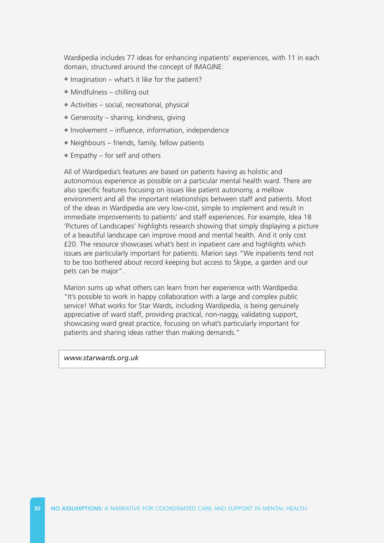Wardipedia includes 77 ideas for enhancing inpatients' experiences, with 11 in each domain, structured around the concept of IMAGINE:

- Imagination what's it like for the patient?
- Mindfulness chilling out
- Activities social, recreational, physical
- Generosity sharing, kindness, giving
- Involvement influence, information, independence
- Neighbours friends, family, fellow patients
- Empathy for self and others

All of Wardipedia's features are based on patients having as holistic and autonomous experience as possible on a particular mental health ward. There are also specific features focusing on issues like patient autonomy, a mellow environment and all the important relationships between staff and patients. Most of the ideas in Wardipedia are very low-cost, simple to implement and result in immediate improvements to patients' and staff experiences. For example, Idea 18 'Pictures of Landscapes' highlights research showing that simply displaying a picture of a beautiful landscape can improve mood and mental health. And it only cost £20. The resource showcases what's best in inpatient care and highlights which issues are particularly important for patients. Marion says "We inpatients tend not to be too bothered about record keeping but access to Skype, a garden and our pets can be major".

Marion sums up what others can learn from her experience with Wardipedia: "It's possible to work in happy collaboration with a large and complex public service! What works for Star Wards, including Wardipedia, is being genuinely appreciative of ward staff, providing practical, non-naggy, validating support, showcasing ward great practice, focusing on what's particularly important for patients and sharing ideas rather than making demands."

#### *[www.starwards.org.uk](http://www.starwards.org.uk)*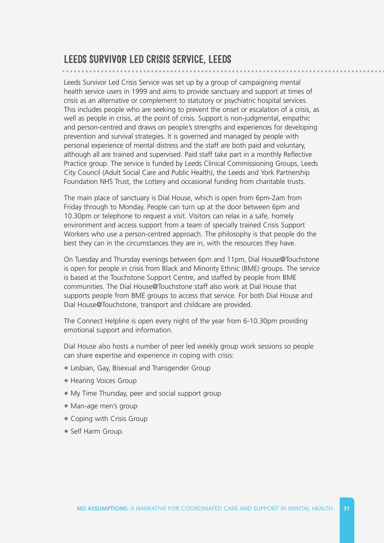#### **LEEDS SURVIVOR LED CRISIS SERVICE, LEEDS**

Leeds Survivor Led Crisis Service was set up by a group of campaigning mental health service users in 1999 and aims to provide sanctuary and support at times of crisis as an alternative or complement to statutory or psychiatric hospital services. This includes people who are seeking to prevent the onset or escalation of a crisis, as well as people in crisis, at the point of crisis. Support is non-judgmental, empathic and person-centred and draws on people's strengths and experiences for developing prevention and survival strategies. It is governed and managed by people with personal experience of mental distress and the staff are both paid and voluntary, although all are trained and supervised. Paid staff take part in a monthly Reflective Practice group. The service is funded by Leeds Clinical Commissioning Groups, Leeds City Council (Adult Social Care and Public Health), the Leeds and York Partnership Foundation NHS Trust, the Lottery and occasional funding from charitable trusts.

The main place of sanctuary is Dial House, which is open from 6pm-2am from Friday through to Monday. People can turn up at the door between 6pm and 10.30pm or telephone to request a visit. Visitors can relax in a safe, homely environment and access support from a team of specially trained Crisis Support Workers who use a person-centred approach. The philosophy is that people do the best they can in the circumstances they are in, with the resources they have.

On Tuesday and Thursday evenings between 6pm and 11pm, Dial House@Touchstone is open for people in crisis from Black and Minority Ethnic (BME) groups. The service is based at the Touchstone Support Centre, and staffed by people from BME communities. The Dial House@Touchstone staff also work at Dial House that supports people from BME groups to access that service. For both Dial House and Dial House@Touchstone, transport and childcare are provided.

The Connect Helpline is open every night of the year from 6-10.30pm providing emotional support and information.

Dial House also hosts a number of peer led weekly group work sessions so people can share expertise and experience in coping with crisis:

- Lesbian, Gay, Bisexual and Transgender Group
- Hearing Voices Group
- My Time Thursday, peer and social support group
- Man-age men's group
- Coping with Crisis Group
- Self Harm Group.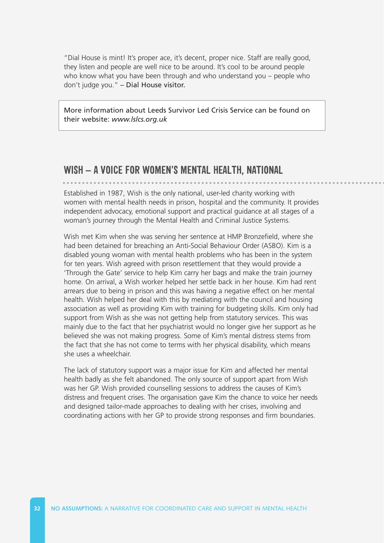"Dial House is mint! It's proper ace, it's decent, proper nice. Staff are really good, they listen and people are well nice to be around. It's cool to be around people who know what you have been through and who understand you – people who don't judge you." – Dial House visitor.

More information about Leeds Survivor Led Crisis Service can be found on their website: *[www.lslcs.org.uk](http://www.lslcs.org.uk)* 

#### **WISH – A VOICE FOR WOMEN'S MENTAL HEALTH, NATIONAL**

Established in 1987, Wish is the only national, user-led charity working with women with mental health needs in prison, hospital and the community. It provides independent advocacy, emotional support and practical guidance at all stages of a woman's journey through the Mental Health and Criminal Justice Systems.

Wish met Kim when she was serving her sentence at HMP Bronzefield, where she had been detained for breaching an Anti-Social Behaviour Order (ASBO). Kim is a disabled young woman with mental health problems who has been in the system for ten years. Wish agreed with prison resettlement that they would provide a 'Through the Gate' service to help Kim carry her bags and make the train journey home. On arrival, a Wish worker helped her settle back in her house. Kim had rent arrears due to being in prison and this was having a negative effect on her mental health. Wish helped her deal with this by mediating with the council and housing association as well as providing Kim with training for budgeting skills. Kim only had support from Wish as she was not getting help from statutory services. This was mainly due to the fact that her psychiatrist would no longer give her support as he believed she was not making progress. Some of Kim's mental distress stems from the fact that she has not come to terms with her physical disability, which means she uses a wheelchair.

The lack of statutory support was a major issue for Kim and affected her mental health badly as she felt abandoned. The only source of support apart from Wish was her GP. Wish provided counselling sessions to address the causes of Kim's distress and frequent crises. The organisation gave Kim the chance to voice her needs and designed tailor-made approaches to dealing with her crises, involving and coordinating actions with her GP to provide strong responses and firm boundaries.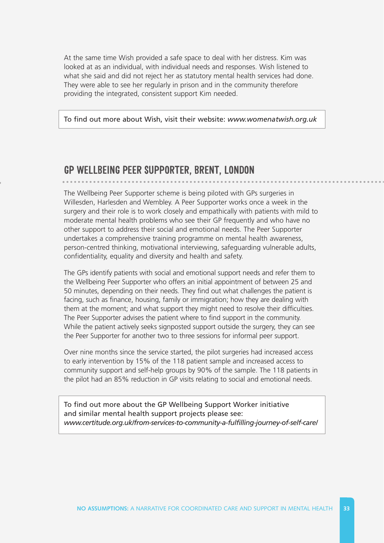At the same time Wish provided a safe space to deal with her distress. Kim was looked at as an individual, with individual needs and responses. Wish listened to what she said and did not reject her as statutory mental health services had done. They were able to see her regularly in prison and in the community therefore providing the integrated, consistent support Kim needed.

To find out more about Wish, visit their website: *[www.womenatwish.org.uk](http://www.womenatwish.org.uk)* 

#### **GP WELLBEING PEER SUPPORTER, BRENT, LONDON**

The Wellbeing Peer Supporter scheme is being piloted with GPs surgeries in Willesden, Harlesden and Wembley. A Peer Supporter works once a week in the surgery and their role is to work closely and empathically with patients with mild to moderate mental health problems who see their GP frequently and who have no other support to address their social and emotional needs. The Peer Supporter undertakes a comprehensive training programme on mental health awareness, person-centred thinking, motivational interviewing, safeguarding vulnerable adults, confidentiality, equality and diversity and health and safety.

The GPs identify patients with social and emotional support needs and refer them to the Wellbeing Peer Supporter who offers an initial appointment of between 25 and 50 minutes, depending on their needs. They find out what challenges the patient is facing, such as finance, housing, family or immigration; how they are dealing with them at the moment; and what support they might need to resolve their difficulties. The Peer Supporter advises the patient where to find support in the community. While the patient actively seeks signposted support outside the surgery, they can see the Peer Supporter for another two to three sessions for informal peer support.

Over nine months since the service started, the pilot surgeries had increased access to early intervention by 15% of the 118 patient sample and increased access to community support and self-help groups by 90% of the sample. The 118 patients in the pilot had an 85% reduction in GP visits relating to social and emotional needs.

To find out more about the GP Wellbeing Support Worker initiative and similar mental health support projects please see: *[www.certitude.org.uk/from-services-to-community-a-fulfilling-journey-of-self-care/](http://www.certitude.org.uk/from-services-to-community-a-fulfilling-journey-of-self-care/)*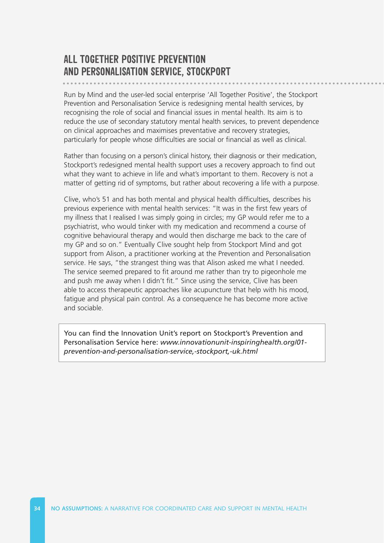#### **ALL TOGETHER POSITIVE PREVENTION AND PERSONALISATION SERVICE, STOCKPORT**

Run by Mind and the user-led social enterprise 'All Together Positive', the Stockport Prevention and Personalisation Service is redesigning mental health services, by recognising the role of social and financial issues in mental health. Its aim is to reduce the use of secondary statutory mental health services, to prevent dependence on clinical approaches and maximises preventative and recovery strategies, particularly for people whose difficulties are social or financial as well as clinical.

Rather than focusing on a person's clinical history, their diagnosis or their medication, Stockport's redesigned mental health support uses a recovery approach to find out what they want to achieve in life and what's important to them. Recovery is not a matter of getting rid of symptoms, but rather about recovering a life with a purpose.

Clive, who's 51 and has both mental and physical health difficulties, describes his previous experience with mental health services: "It was in the first few years of my illness that I realised I was simply going in circles; my GP would refer me to a psychiatrist, who would tinker with my medication and recommend a course of cognitive behavioural therapy and would then discharge me back to the care of my GP and so on." Eventually Clive sought help from Stockport Mind and got support from Alison, a practitioner working at the Prevention and Personalisation service. He says, "the strangest thing was that Alison asked me what I needed. The service seemed prepared to fit around me rather than try to pigeonhole me and push me away when I didn't fit." Since using the service, Clive has been able to access therapeutic approaches like acupuncture that help with his mood, fatigue and physical pain control. As a consequence he has become more active and sociable.

[You can find the Innovation Unit's report on Stockport's Prevention and](http://www.innovationunit-inspiringhealth.org/01-prevention-and-personalisation-service,-stockport,-uk.html)  Personalisation Service here: *www.innovationunit-inspiringhealth.org/01 prevention-and-personalisation-service,-stockport,-uk.html*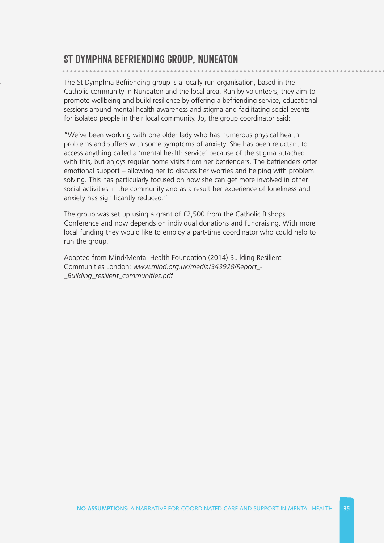#### **ST DYMPHNA BEFRIENDING GROUP, NUNEATON**

The St Dymphna Befriending group is a locally run organisation, based in the Catholic community in Nuneaton and the local area. Run by volunteers, they aim to promote wellbeing and build resilience by offering a befriending service, educational sessions around mental health awareness and stigma and facilitating social events for isolated people in their local community. Jo, the group coordinator said:

"We've been working with one older lady who has numerous physical health problems and suffers with some symptoms of anxiety. She has been reluctant to access anything called a 'mental health service' because of the stigma attached with this, but enjoys regular home visits from her befrienders. The befrienders offer emotional support – allowing her to discuss her worries and helping with problem solving. This has particularly focused on how she can get more involved in other social activities in the community and as a result her experience of loneliness and anxiety has significantly reduced."

The group was set up using a grant of £2,500 from the Catholic Bishops Conference and now depends on individual donations and fundraising. With more local funding they would like to employ a part-time coordinator who could help to run the group.

[Adapted from Mind/Mental Health Foundation \(2014\) Building Resilient](http://www.mind.org.uk/media/343928/Report_-_Building_resilient_communities.pdf)  Communities London: *www.mind.org.uk/media/343928/Report\_ \_Building\_resilient\_communities.pdf*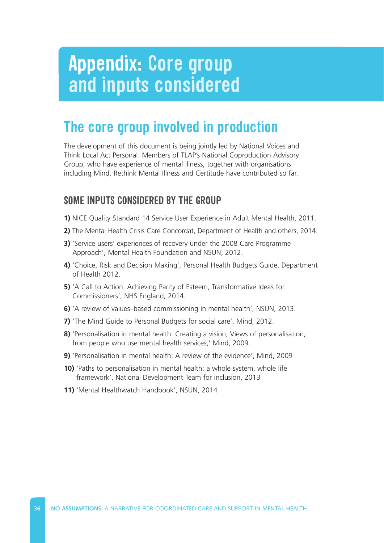## **Appendix: Core group and inputs considered**

## **The core group involved in production**

The development of this document is being jointly led by National Voices and Think Local Act Personal. Members of TLAP's National Coproduction Advisory Group, who have experience of mental illness, together with organisations including Mind, Rethink Mental Illness and Certitude have contributed so far.

#### **SOME INPUTS CONSIDERED BY THE GROUP**

- **1)** NICE Quality Standard 14 Service User Experience in Adult Mental Health, 2011.
- **2)** The Mental Health Crisis Care Concordat, Department of Health and others, 2014.
- **3)** 'Service users' experiences of recovery under the 2008 Care Programme Approach', Mental Health Foundation and NSUN, 2012.
- **4)** 'Choice, Risk and Decision Making', Personal Health Budgets Guide, Department of Health 2012.
- **5)** 'A Call to Action: Achieving Parity of Esteem; Transformative Ideas for Commissioners', NHS England, 2014.
- **6)** 'A review of values–based commissioning in mental health', NSUN, 2013.
- **7)** 'The Mind Guide to Personal Budgets for social care', Mind, 2012.
- **8)** 'Personalisation in mental health: Creating a vision; Views of personalisation, from people who use mental health services,' Mind, 2009.
- **9)** 'Personalisation in mental health: A review of the evidence', Mind, 2009
- **10)** 'Paths to personalisation in mental health: a whole system, whole life framework', National Development Team for inclusion, 2013
- **11)** 'Mental Healthwatch Handbook', NSUN, 2014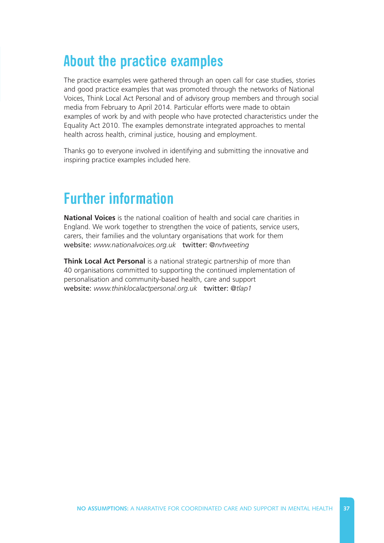## **About the practice examples**

The practice examples were gathered through an open call for case studies, stories and good practice examples that was promoted through the networks of National Voices, Think Local Act Personal and of advisory group members and through social media from February to April 2014. Particular efforts were made to obtain examples of work by and with people who have protected characteristics under the Equality Act 2010. The examples demonstrate integrated approaches to mental health across health, criminal justice, housing and employment.

Thanks go to everyone involved in identifying and submitting the innovative and inspiring practice examples included here.

## **Further information**

**National Voices** is the national coalition of health and social care charities in England. We work together to strengthen the voice of patients, service users, carers, their families and the voluntary organisations that work for them website: *[www.nationalvoices.org.uk](http://www.nationalvoices.org.uk)* twitter: *[@nvtweeting](https://twitter.com/NVTweeting)* 

**Think Local Act Personal** is a national strategic partnership of more than 40 organisations committed to supporting the continued implementation of personalisation and community-based health, care and support website: *[www.thinklocalactpersonal.org.uk](http://www.thinklocalactpersonal.org.uk)* twitter: *[@tlap1](https://twitter.com/TLAP1)*